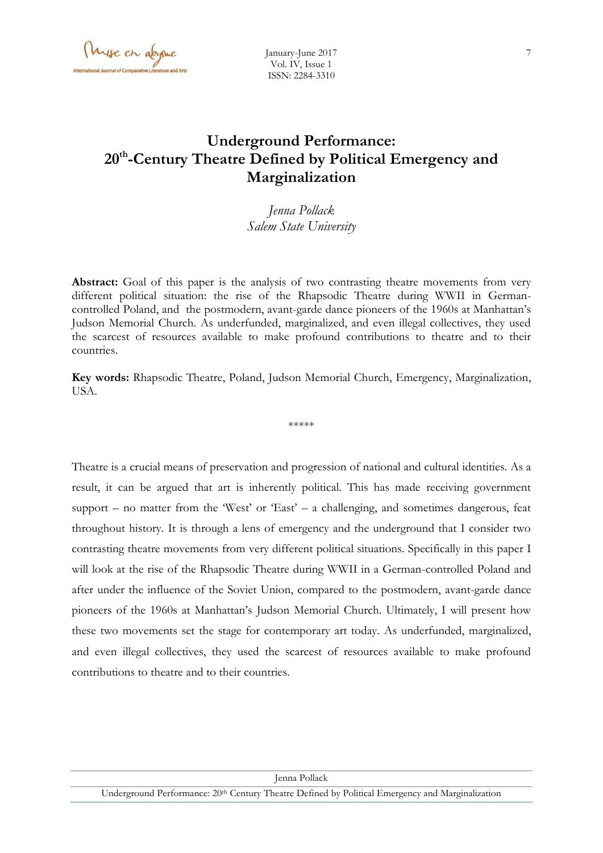Myse en abyme

# **Underground Performance: 20th -Century Theatre Defined by Political Emergency and Marginalization**

*Jenna Pollack Salem State University*

Abstract: Goal of this paper is the analysis of two contrasting theatre movements from very different political situation: the rise of the Rhapsodic Theatre during WWII in Germancontrolled Poland, and the postmodern, avant-garde dance pioneers of the 1960s at Manhattan's Judson Memorial Church. As underfunded, marginalized, and even illegal collectives, they used the scarcest of resources available to make profound contributions to theatre and to their countries.

**Key words:** Rhapsodic Theatre, Poland, Judson Memorial Church, Emergency, Marginalization, USA.

\*\*\*\*\*

Theatre is a crucial means of preservation and progression of national and cultural identities. As a result, it can be argued that art is inherently political. This has made receiving government support – no matter from the 'West' or 'East' – a challenging, and sometimes dangerous, feat throughout history. It is through a lens of emergency and the underground that I consider two contrasting theatre movements from very different political situations. Specifically in this paper I will look at the rise of the Rhapsodic Theatre during WWII in a German-controlled Poland and after under the influence of the Soviet Union, compared to the postmodern, avant-garde dance pioneers of the 1960s at Manhattan's Judson Memorial Church. Ultimately, I will present how these two movements set the stage for contemporary art today. As underfunded, marginalized, and even illegal collectives, they used the scarcest of resources available to make profound contributions to theatre and to their countries.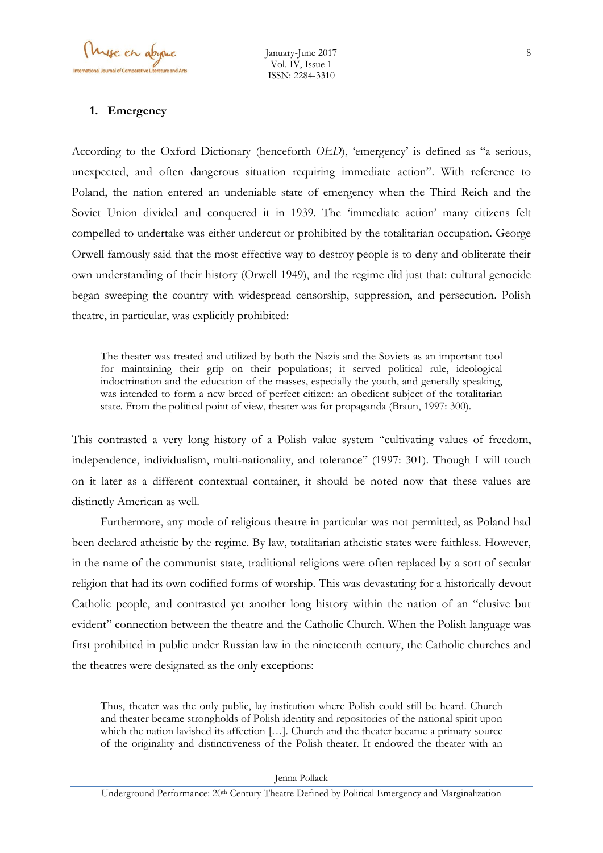#### **1. Emergency**

According to the Oxford Dictionary (henceforth *OED*), 'emergency' is defined as "a serious, unexpected, and often dangerous situation requiring immediate action". With reference to Poland, the nation entered an undeniable state of emergency when the Third Reich and the Soviet Union divided and conquered it in 1939. The 'immediate action' many citizens felt compelled to undertake was either undercut or prohibited by the totalitarian occupation. George Orwell famously said that the most effective way to destroy people is to deny and obliterate their own understanding of their history (Orwell 1949), and the regime did just that: cultural genocide began sweeping the country with widespread censorship, suppression, and persecution. Polish theatre, in particular, was explicitly prohibited:

The theater was treated and utilized by both the Nazis and the Soviets as an important tool for maintaining their grip on their populations; it served political rule, ideological indoctrination and the education of the masses, especially the youth, and generally speaking, was intended to form a new breed of perfect citizen: an obedient subject of the totalitarian state. From the political point of view, theater was for propaganda (Braun, 1997: 300).

This contrasted a very long history of a Polish value system "cultivating values of freedom, independence, individualism, multi-nationality, and tolerance" (1997: 301). Though I will touch on it later as a different contextual container, it should be noted now that these values are distinctly American as well.

Furthermore, any mode of religious theatre in particular was not permitted, as Poland had been declared atheistic by the regime. By law, totalitarian atheistic states were faithless. However, in the name of the communist state, traditional religions were often replaced by a sort of secular religion that had its own codified forms of worship. This was devastating for a historically devout Catholic people, and contrasted yet another long history within the nation of an "elusive but evident" connection between the theatre and the Catholic Church. When the Polish language was first prohibited in public under Russian law in the nineteenth century, the Catholic churches and the theatres were designated as the only exceptions:

Thus, theater was the only public, lay institution where Polish could still be heard. Church and theater became strongholds of Polish identity and repositories of the national spirit upon which the nation lavished its affection […]. Church and the theater became a primary source of the originality and distinctiveness of the Polish theater. It endowed the theater with an

| Jenna Pollack                                                                                                |
|--------------------------------------------------------------------------------------------------------------|
| Underground Performance: 20 <sup>th</sup> Century Theatre Defined by Political Emergency and Marginalization |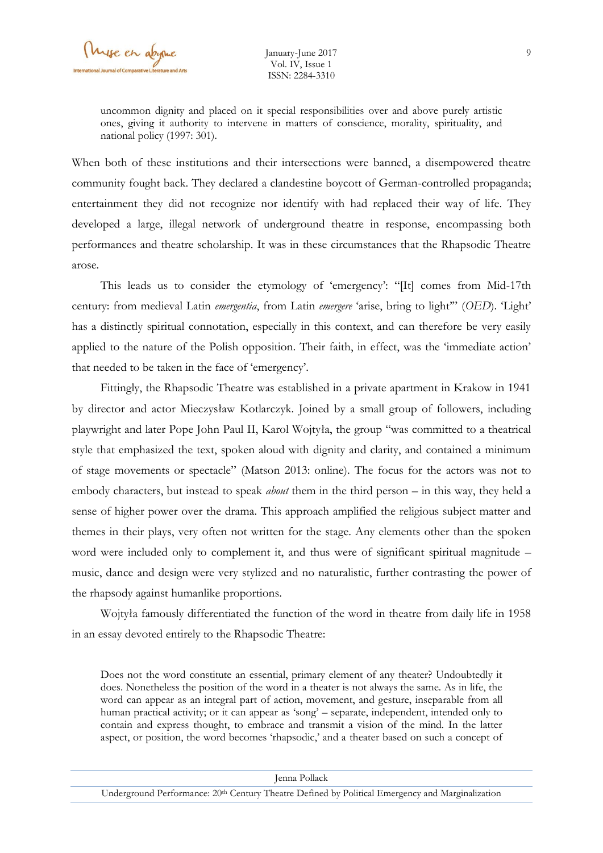uncommon dignity and placed on it special responsibilities over and above purely artistic ones, giving it authority to intervene in matters of conscience, morality, spirituality, and national policy (1997: 301).

When both of these institutions and their intersections were banned, a disempowered theatre community fought back. They declared a clandestine boycott of German-controlled propaganda; entertainment they did not recognize nor identify with had replaced their way of life. They developed a large, illegal network of underground theatre in response, encompassing both performances and theatre scholarship. It was in these circumstances that the Rhapsodic Theatre arose.

This leads us to consider the etymology of 'emergency': "[It] comes from Mid-17th century: from medieval Latin *emergentia*, from Latin *emergere* 'arise, bring to light'" (*OED*). 'Light' has a distinctly spiritual connotation, especially in this context, and can therefore be very easily applied to the nature of the Polish opposition. Their faith, in effect, was the 'immediate action' that needed to be taken in the face of 'emergency'.

Fittingly, the Rhapsodic Theatre was established in a private apartment in Krakow in 1941 by director and actor Mieczysław Kotlarczyk. Joined by a small group of followers, including playwright and later Pope John Paul II, Karol Wojtyła, the group "was committed to a theatrical style that emphasized the text, spoken aloud with dignity and clarity, and contained a minimum of stage movements or spectacle" (Matson 2013: online). The focus for the actors was not to embody characters, but instead to speak *about* them in the third person – in this way, they held a sense of higher power over the drama. This approach amplified the religious subject matter and themes in their plays, very often not written for the stage. Any elements other than the spoken word were included only to complement it, and thus were of significant spiritual magnitude – music, dance and design were very stylized and no naturalistic, further contrasting the power of the rhapsody against humanlike proportions.

Wojtyła famously differentiated the function of the word in theatre from daily life in 1958 in an essay devoted entirely to the Rhapsodic Theatre:

Does not the word constitute an essential, primary element of any theater? Undoubtedly it does. Nonetheless the position of the word in a theater is not always the same. As in life, the word can appear as an integral part of action, movement, and gesture, inseparable from all human practical activity; or it can appear as 'song' – separate, independent, intended only to contain and express thought, to embrace and transmit a vision of the mind. In the latter aspect, or position, the word becomes 'rhapsodic,' and a theater based on such a concept of

| Jenna Pollack                                                                                                |  |
|--------------------------------------------------------------------------------------------------------------|--|
| Underground Performance: 20 <sup>th</sup> Century Theatre Defined by Political Emergency and Marginalization |  |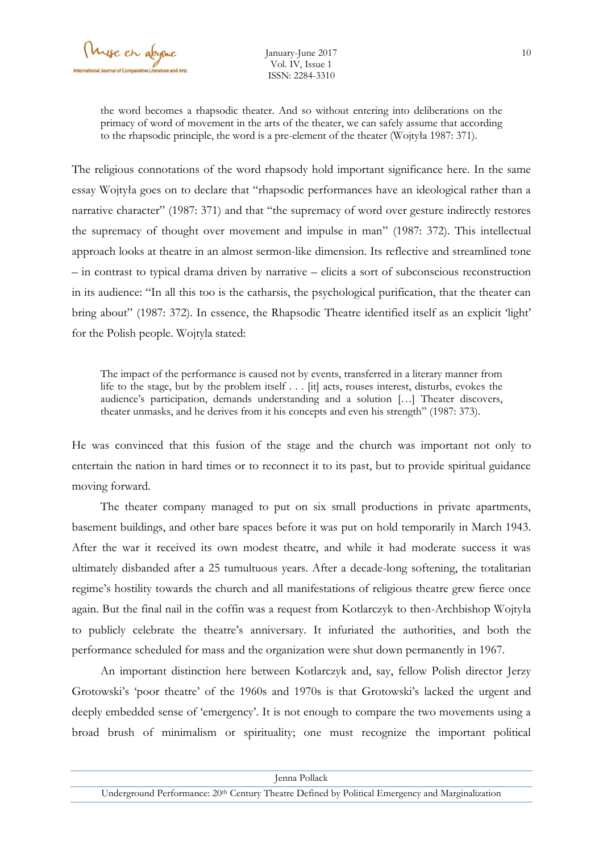the word becomes a rhapsodic theater. And so without entering into deliberations on the primacy of word of movement in the arts of the theater, we can safely assume that according to the rhapsodic principle, the word is a pre-element of the theater (Wojtyła 1987: 371).

The religious connotations of the word rhapsody hold important significance here. In the same essay Wojtyła goes on to declare that "rhapsodic performances have an ideological rather than a narrative character" (1987: 371) and that "the supremacy of word over gesture indirectly restores the supremacy of thought over movement and impulse in man" (1987: 372). This intellectual approach looks at theatre in an almost sermon-like dimension. Its reflective and streamlined tone – in contrast to typical drama driven by narrative – elicits a sort of subconscious reconstruction in its audience: "In all this too is the catharsis, the psychological purification, that the theater can bring about" (1987: 372). In essence, the Rhapsodic Theatre identified itself as an explicit 'light' for the Polish people. Wojtyla stated:

The impact of the performance is caused not by events, transferred in a literary manner from life to the stage, but by the problem itself . . . [it] acts, rouses interest, disturbs, evokes the audience's participation, demands understanding and a solution […] Theater discovers, theater unmasks, and he derives from it his concepts and even his strength" (1987: 373).

He was convinced that this fusion of the stage and the church was important not only to entertain the nation in hard times or to reconnect it to its past, but to provide spiritual guidance moving forward.

The theater company managed to put on six small productions in private apartments, basement buildings, and other bare spaces before it was put on hold temporarily in March 1943. After the war it received its own modest theatre, and while it had moderate success it was ultimately disbanded after a 25 tumultuous years. After a decade-long softening, the totalitarian regime's hostility towards the church and all manifestations of religious theatre grew fierce once again. But the final nail in the coffin was a request from Kotlarczyk to then-Archbishop Wojtyła to publicly celebrate the theatre's anniversary. It infuriated the authorities, and both the performance scheduled for mass and the organization were shut down permanently in 1967.

An important distinction here between Kotlarczyk and, say, fellow Polish director Jerzy Grotowski's 'poor theatre' of the 1960s and 1970s is that Grotowski's lacked the urgent and deeply embedded sense of 'emergency'. It is not enough to compare the two movements using a broad brush of minimalism or spirituality; one must recognize the important political

| Jenna Pollack                                                                                                |  |
|--------------------------------------------------------------------------------------------------------------|--|
| Underground Performance: 20 <sup>th</sup> Century Theatre Defined by Political Emergency and Marginalization |  |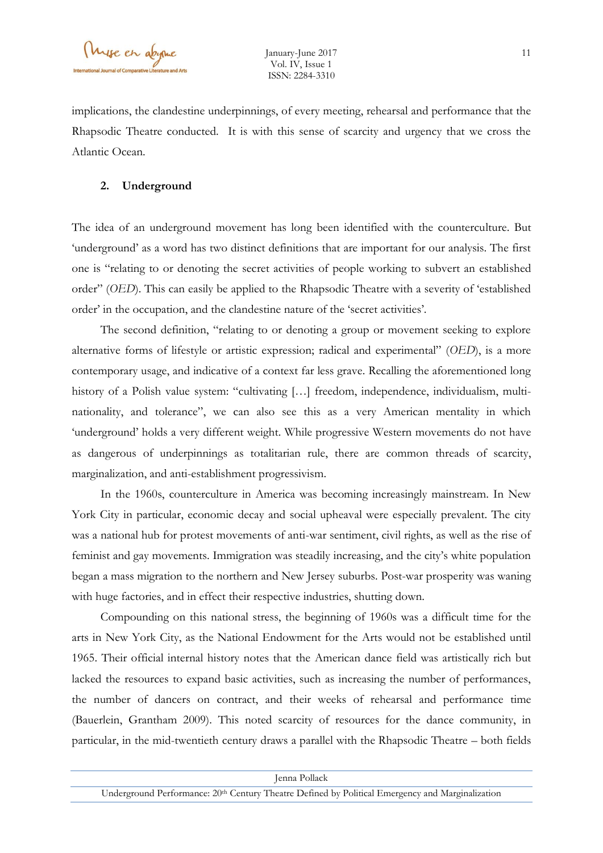implications, the clandestine underpinnings, of every meeting, rehearsal and performance that the Rhapsodic Theatre conducted. It is with this sense of scarcity and urgency that we cross the Atlantic Ocean.

### **2. Underground**

The idea of an underground movement has long been identified with the counterculture. But 'underground' as a word has two distinct definitions that are important for our analysis. The first one is "relating to or denoting the secret activities of people working to subvert an established order" (*OED*). This can easily be applied to the Rhapsodic Theatre with a severity of 'established order' in the occupation, and the clandestine nature of the 'secret activities'.

The second definition, "relating to or denoting a group or movement seeking to explore alternative forms of lifestyle or artistic expression; radical and experimental" (*OED*), is a more contemporary usage, and indicative of a context far less grave. Recalling the aforementioned long history of a Polish value system: "cultivating [...] freedom, independence, individualism, multinationality, and tolerance", we can also see this as a very American mentality in which 'underground' holds a very different weight. While progressive Western movements do not have as dangerous of underpinnings as totalitarian rule, there are common threads of scarcity, marginalization, and anti-establishment progressivism.

In the 1960s, counterculture in America was becoming increasingly mainstream. In New York City in particular, economic decay and social upheaval were especially prevalent. The city was a national hub for protest movements of anti-war sentiment, civil rights, as well as the rise of feminist and gay movements. Immigration was steadily increasing, and the city's white population began a mass migration to the northern and New Jersey suburbs. Post-war prosperity was waning with huge factories, and in effect their respective industries, shutting down.

Compounding on this national stress, the beginning of 1960s was a difficult time for the arts in New York City, as the National Endowment for the Arts would not be established until 1965. Their official internal history notes that the American dance field was artistically rich but lacked the resources to expand basic activities, such as increasing the number of performances, the number of dancers on contract, and their weeks of rehearsal and performance time (Bauerlein, Grantham 2009). This noted scarcity of resources for the dance community, in particular, in the mid-twentieth century draws a parallel with the Rhapsodic Theatre – both fields

| Jenna Pollack                                                                                                |  |
|--------------------------------------------------------------------------------------------------------------|--|
| Underground Performance: 20 <sup>th</sup> Century Theatre Defined by Political Emergency and Marginalization |  |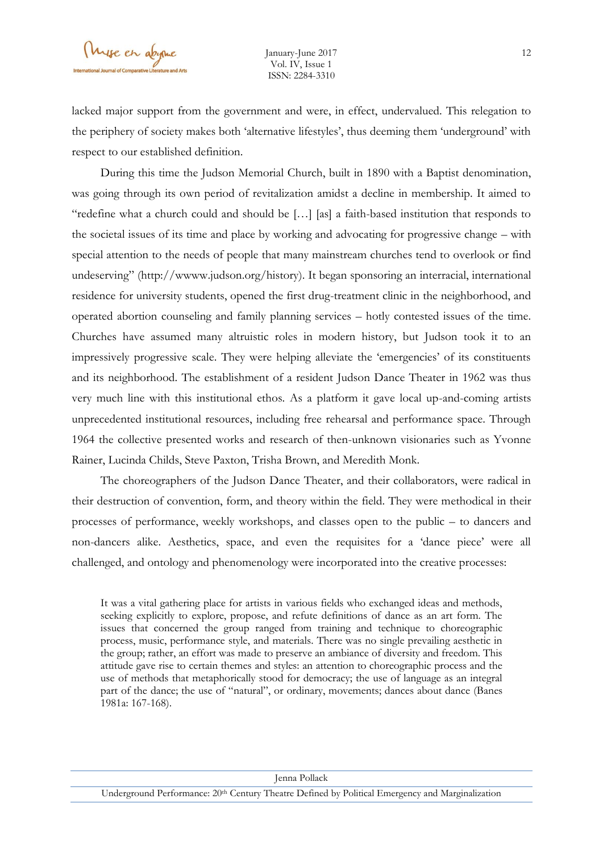lacked major support from the government and were, in effect, undervalued. This relegation to the periphery of society makes both 'alternative lifestyles', thus deeming them 'underground' with respect to our established definition.

During this time the Judson Memorial Church, built in 1890 with a Baptist denomination, was going through its own period of revitalization amidst a decline in membership. It aimed to "redefine what a church could and should be […] [as] a faith-based institution that responds to the societal issues of its time and place by working and advocating for progressive change – with special attention to the needs of people that many mainstream churches tend to overlook or find undeserving" (http://wwww.judson.org/history). It began sponsoring an interracial, international residence for university students, opened the first drug-treatment clinic in the neighborhood, and operated abortion counseling and family planning services – hotly contested issues of the time. Churches have assumed many altruistic roles in modern history, but Judson took it to an impressively progressive scale. They were helping alleviate the 'emergencies' of its constituents and its neighborhood. The establishment of a resident Judson Dance Theater in 1962 was thus very much line with this institutional ethos. As a platform it gave local up-and-coming artists unprecedented institutional resources, including free rehearsal and performance space. Through 1964 the collective presented works and research of then-unknown visionaries such as Yvonne Rainer, Lucinda Childs, Steve Paxton, Trisha Brown, and Meredith Monk.

The choreographers of the Judson Dance Theater, and their collaborators, were radical in their destruction of convention, form, and theory within the field. They were methodical in their processes of performance, weekly workshops, and classes open to the public – to dancers and non-dancers alike. Aesthetics, space, and even the requisites for a 'dance piece' were all challenged, and ontology and phenomenology were incorporated into the creative processes:

It was a vital gathering place for artists in various fields who exchanged ideas and methods, seeking explicitly to explore, propose, and refute definitions of dance as an art form. The issues that concerned the group ranged from training and technique to choreographic process, music, performance style, and materials. There was no single prevailing aesthetic in the group; rather, an effort was made to preserve an ambiance of diversity and freedom. This attitude gave rise to certain themes and styles: an attention to choreographic process and the use of methods that metaphorically stood for democracy; the use of language as an integral part of the dance; the use of "natural", or ordinary, movements; dances about dance (Banes 1981a: 167-168).

12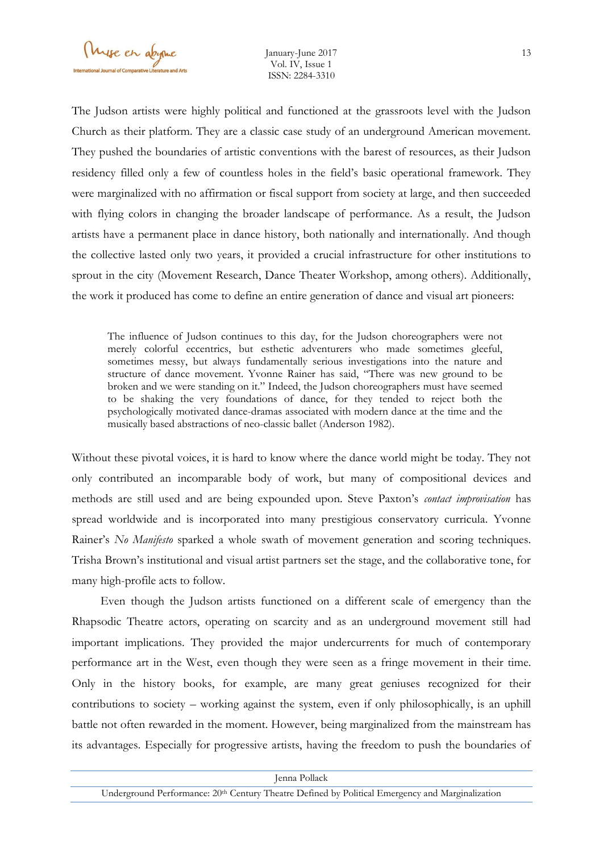The Judson artists were highly political and functioned at the grassroots level with the Judson Church as their platform. They are a classic case study of an underground American movement. They pushed the boundaries of artistic conventions with the barest of resources, as their Judson residency filled only a few of countless holes in the field's basic operational framework. They were marginalized with no affirmation or fiscal support from society at large, and then succeeded with flying colors in changing the broader landscape of performance. As a result, the Judson artists have a permanent place in dance history, both nationally and internationally. And though the collective lasted only two years, it provided a crucial infrastructure for other institutions to sprout in the city (Movement Research, Dance Theater Workshop, among others). Additionally, the work it produced has come to define an entire generation of dance and visual art pioneers:

The influence of Judson continues to this day, for the Judson choreographers were not merely colorful eccentrics, but esthetic adventurers who made sometimes gleeful, sometimes messy, but always fundamentally serious investigations into the nature and structure of dance movement. Yvonne Rainer has said, "There was new ground to be broken and we were standing on it." Indeed, the Judson choreographers must have seemed to be shaking the very foundations of dance, for they tended to reject both the psychologically motivated dance-dramas associated with modern dance at the time and the musically based abstractions of neo-classic ballet (Anderson 1982).

Without these pivotal voices, it is hard to know where the dance world might be today. They not only contributed an incomparable body of work, but many of compositional devices and methods are still used and are being expounded upon. Steve Paxton's *contact improvisation* has spread worldwide and is incorporated into many prestigious conservatory curricula. Yvonne Rainer's *No Manifesto* sparked a whole swath of movement generation and scoring techniques. Trisha Brown's institutional and visual artist partners set the stage, and the collaborative tone, for many high-profile acts to follow.

Even though the Judson artists functioned on a different scale of emergency than the Rhapsodic Theatre actors, operating on scarcity and as an underground movement still had important implications. They provided the major undercurrents for much of contemporary performance art in the West, even though they were seen as a fringe movement in their time. Only in the history books, for example, are many great geniuses recognized for their contributions to society – working against the system, even if only philosophically, is an uphill battle not often rewarded in the moment. However, being marginalized from the mainstream has its advantages. Especially for progressive artists, having the freedom to push the boundaries of

| Jenna Pollack                                                                                    |
|--------------------------------------------------------------------------------------------------|
| Underground Performance: 20th Century Theatre Defined by Political Emergency and Marginalization |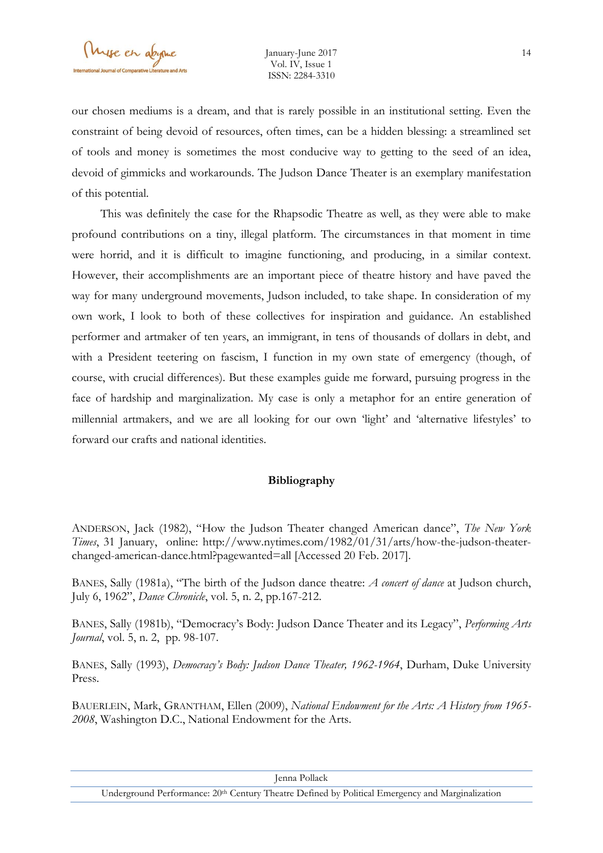our chosen mediums is a dream, and that is rarely possible in an institutional setting. Even the constraint of being devoid of resources, often times, can be a hidden blessing: a streamlined set of tools and money is sometimes the most conducive way to getting to the seed of an idea, devoid of gimmicks and workarounds. The Judson Dance Theater is an exemplary manifestation of this potential.

This was definitely the case for the Rhapsodic Theatre as well, as they were able to make profound contributions on a tiny, illegal platform. The circumstances in that moment in time were horrid, and it is difficult to imagine functioning, and producing, in a similar context. However, their accomplishments are an important piece of theatre history and have paved the way for many underground movements, Judson included, to take shape. In consideration of my own work, I look to both of these collectives for inspiration and guidance. An established performer and artmaker of ten years, an immigrant, in tens of thousands of dollars in debt, and with a President teetering on fascism, I function in my own state of emergency (though, of course, with crucial differences). But these examples guide me forward, pursuing progress in the face of hardship and marginalization. My case is only a metaphor for an entire generation of millennial artmakers, and we are all looking for our own 'light' and 'alternative lifestyles' to forward our crafts and national identities.

## **Bibliography**

ANDERSON, Jack (1982), "How the Judson Theater changed American dance", *The New York Times*, 31 January, online: http://www.nytimes.com/1982/01/31/arts/how-the-judson-theaterchanged-american-dance.html?pagewanted=all [Accessed 20 Feb. 2017].

BANES, Sally (1981a), "The birth of the Judson dance theatre: *A concert of dance* at Judson church, July 6, 1962", *Dance Chronicle*, vol. 5, n. 2, pp.167-212.

BANES, Sally (1981b), "Democracy's Body: Judson Dance Theater and its Legacy", *Performing Arts Journal*, vol. 5, n. 2, pp. 98-107.

BANES, Sally (1993), *Democracy's Body: Judson Dance Theater, 1962-1964*, Durham, Duke University Press.

BAUERLEIN, Mark, GRANTHAM, Ellen (2009), *National Endowment for the Arts: A History from 1965- 2008*, Washington D.C., National Endowment for the Arts.

Jenna Pollack